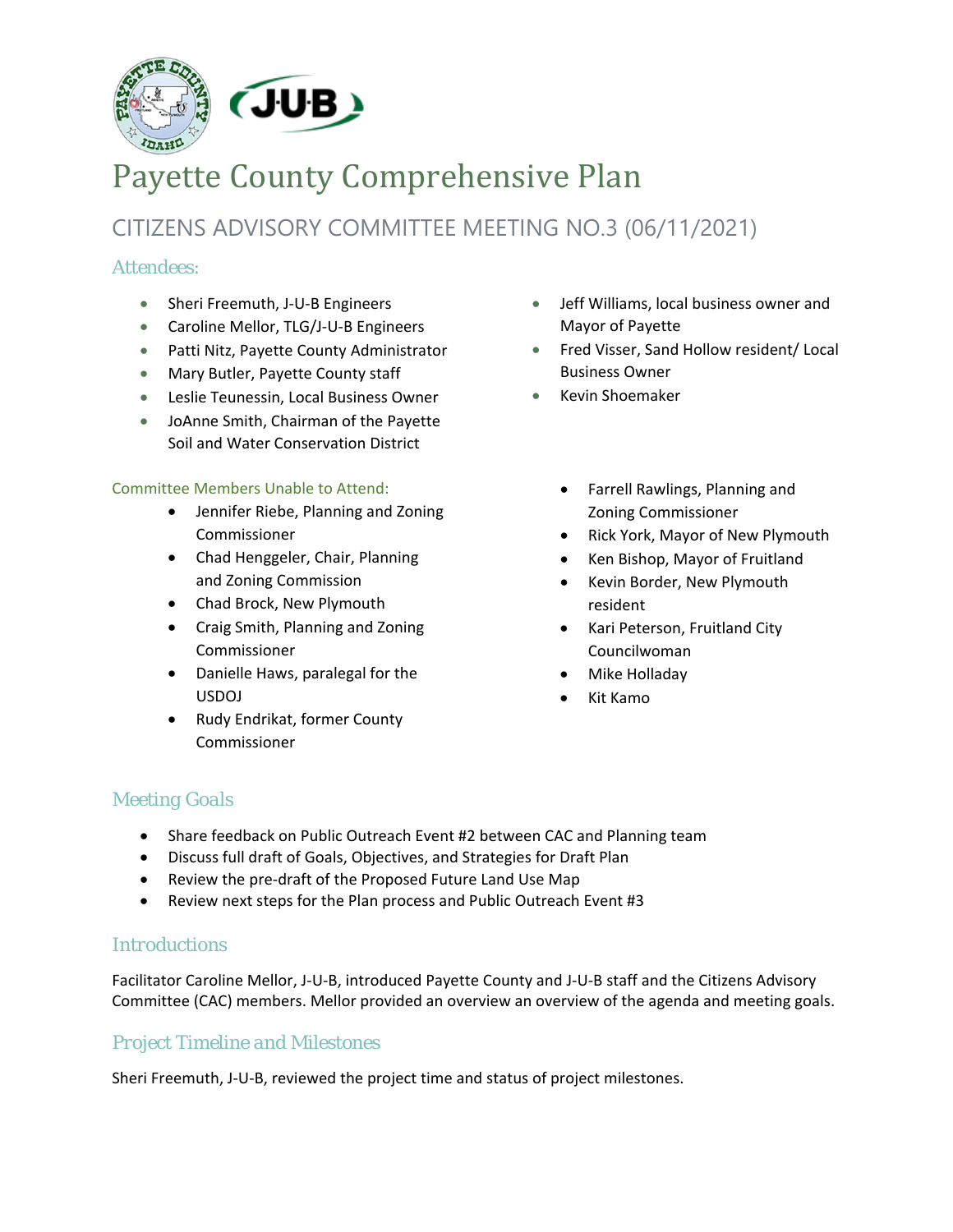

# Payette County Comprehensive Plan

# CITIZENS ADVISORY COMMITTEE MEETING NO.3 (06/11/2021)

# *Attendees:*

- Sheri Freemuth, J-U-B Engineers
- Caroline Mellor, TLG/J-U-B Engineers
- Patti Nitz, Payette County Administrator
- Mary Butler, Payette County staff
- Leslie Teunessin, Local Business Owner
- JoAnne Smith, Chairman of the Payette Soil and Water Conservation District

#### Committee Members Unable to Attend:

- Jennifer Riebe, Planning and Zoning Commissioner
- Chad Henggeler, Chair, Planning and Zoning Commission
- Chad Brock, New Plymouth
- Craig Smith, Planning and Zoning Commissioner
- Danielle Haws, paralegal for the USDOJ
- Rudy Endrikat, former County Commissioner
- Jeff Williams, local business owner and Mayor of Payette
- Fred Visser, Sand Hollow resident/ Local Business Owner
- Kevin Shoemaker
	- Farrell Rawlings, Planning and Zoning Commissioner
	- Rick York, Mayor of New Plymouth
	- Ken Bishop, Mayor of Fruitland
	- Kevin Border, New Plymouth resident
	- Kari Peterson, Fruitland City Councilwoman
	- Mike Holladay
	- Kit Kamo

# *Meeting Goals*

- Share feedback on Public Outreach Event #2 between CAC and Planning team
- Discuss full draft of Goals, Objectives, and Strategies for Draft Plan
- Review the pre-draft of the Proposed Future Land Use Map
- Review next steps for the Plan process and Public Outreach Event #3

# *Introductions*

Facilitator Caroline Mellor, J-U-B, introduced Payette County and J-U-B staff and the Citizens Advisory Committee (CAC) members. Mellor provided an overview an overview of the agenda and meeting goals.

# *Project Timeline and Milestones*

Sheri Freemuth, J-U-B, reviewed the project time and status of project milestones.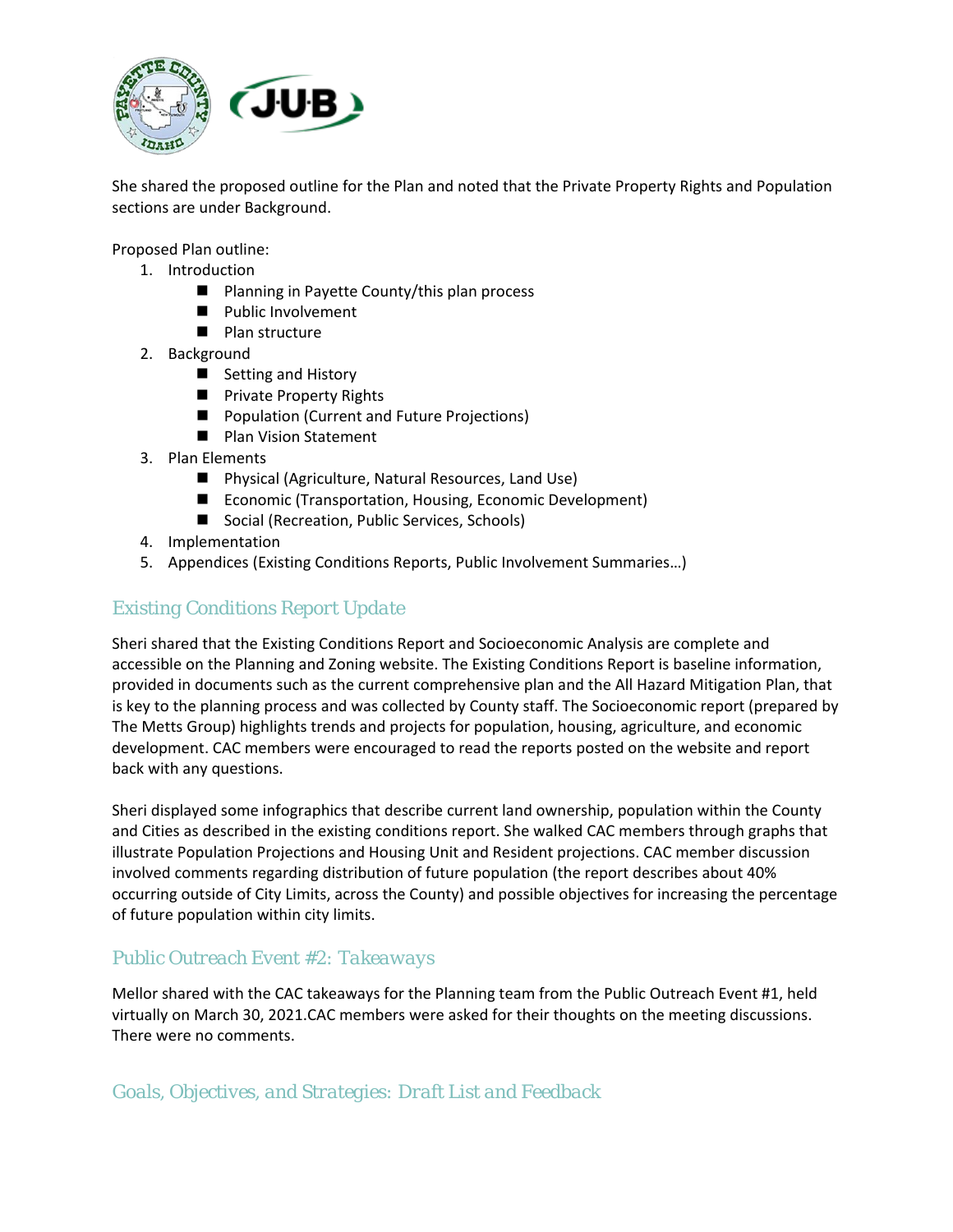

She shared the proposed outline for the Plan and noted that the Private Property Rights and Population sections are under Background.

Proposed Plan outline:

- 1. Introduction
	- Planning in Payette County/this plan process
	- **Public Involvement**
	- **Plan structure**
- 2. Background
	- Setting and History
	- **Private Property Rights**
	- **Population (Current and Future Projections)**
	- **Plan Vision Statement**
- 3. Plan Elements
	- Physical (Agriculture, Natural Resources, Land Use)
	- Economic (Transportation, Housing, Economic Development)
	- Social (Recreation, Public Services, Schools)
- 4. Implementation
- 5. Appendices (Existing Conditions Reports, Public Involvement Summaries…)

# *Existing Conditions Report Update*

Sheri shared that the Existing Conditions Report and Socioeconomic Analysis are complete and accessible on the Planning and Zoning website. The Existing Conditions Report is baseline information, provided in documents such as the current comprehensive plan and the All Hazard Mitigation Plan, that is key to the planning process and was collected by County staff. The Socioeconomic report (prepared by The Metts Group) highlights trends and projects for population, housing, agriculture, and economic development. CAC members were encouraged to read the reports posted on the website and report back with any questions.

Sheri displayed some infographics that describe current land ownership, population within the County and Cities as described in the existing conditions report. She walked CAC members through graphs that illustrate Population Projections and Housing Unit and Resident projections. CAC member discussion involved comments regarding distribution of future population (the report describes about 40% occurring outside of City Limits, across the County) and possible objectives for increasing the percentage of future population within city limits.

# *Public Outreach Event #2: Takeaways*

Mellor shared with the CAC takeaways for the Planning team from the Public Outreach Event #1, held virtually on March 30, 2021.CAC members were asked for their thoughts on the meeting discussions. There were no comments.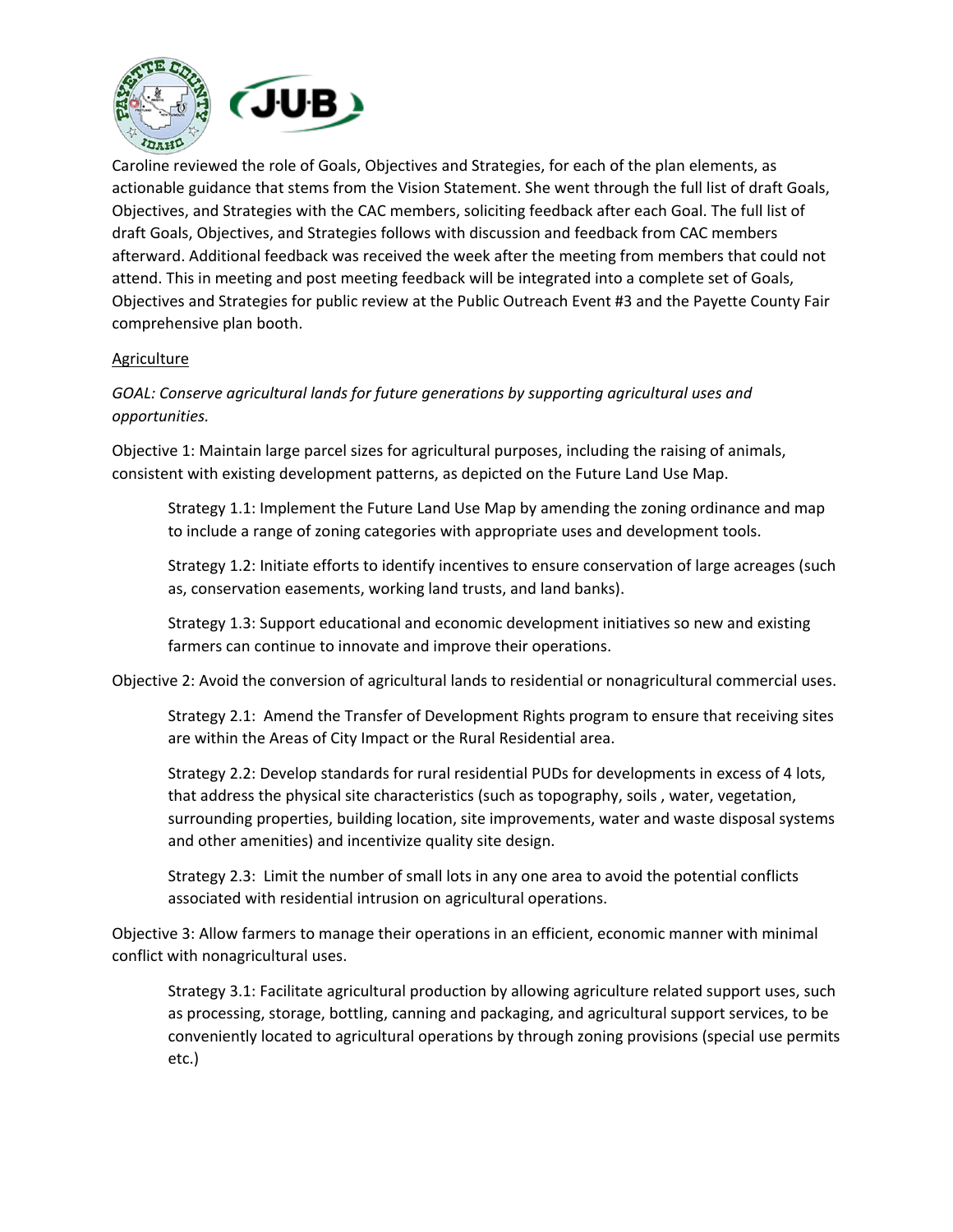

Caroline reviewed the role of Goals, Objectives and Strategies, for each of the plan elements, as actionable guidance that stems from the Vision Statement. She went through the full list of draft Goals, Objectives, and Strategies with the CAC members, soliciting feedback after each Goal. The full list of draft Goals, Objectives, and Strategies follows with discussion and feedback from CAC members afterward. Additional feedback was received the week after the meeting from members that could not attend. This in meeting and post meeting feedback will be integrated into a complete set of Goals, Objectives and Strategies for public review at the Public Outreach Event #3 and the Payette County Fair comprehensive plan booth.

#### **Agriculture**

*GOAL: Conserve agricultural lands for future generations by supporting agricultural uses and opportunities.*

Objective 1: Maintain large parcel sizes for agricultural purposes, including the raising of animals, consistent with existing development patterns, as depicted on the Future Land Use Map.

Strategy 1.1: Implement the Future Land Use Map by amending the zoning ordinance and map to include a range of zoning categories with appropriate uses and development tools.

Strategy 1.2: Initiate efforts to identify incentives to ensure conservation of large acreages (such as, conservation easements, working land trusts, and land banks).

Strategy 1.3: Support educational and economic development initiatives so new and existing farmers can continue to innovate and improve their operations.

Objective 2: Avoid the conversion of agricultural lands to residential or nonagricultural commercial uses.

Strategy 2.1: Amend the Transfer of Development Rights program to ensure that receiving sites are within the Areas of City Impact or the Rural Residential area.

Strategy 2.2: Develop standards for rural residential PUDs for developments in excess of 4 lots, that address the physical site characteristics (such as topography, soils , water, vegetation, surrounding properties, building location, site improvements, water and waste disposal systems and other amenities) and incentivize quality site design.

Strategy 2.3: Limit the number of small lots in any one area to avoid the potential conflicts associated with residential intrusion on agricultural operations.

Objective 3: Allow farmers to manage their operations in an efficient, economic manner with minimal conflict with nonagricultural uses.

Strategy 3.1: Facilitate agricultural production by allowing agriculture related support uses, such as processing, storage, bottling, canning and packaging, and agricultural support services, to be conveniently located to agricultural operations by through zoning provisions (special use permits etc.)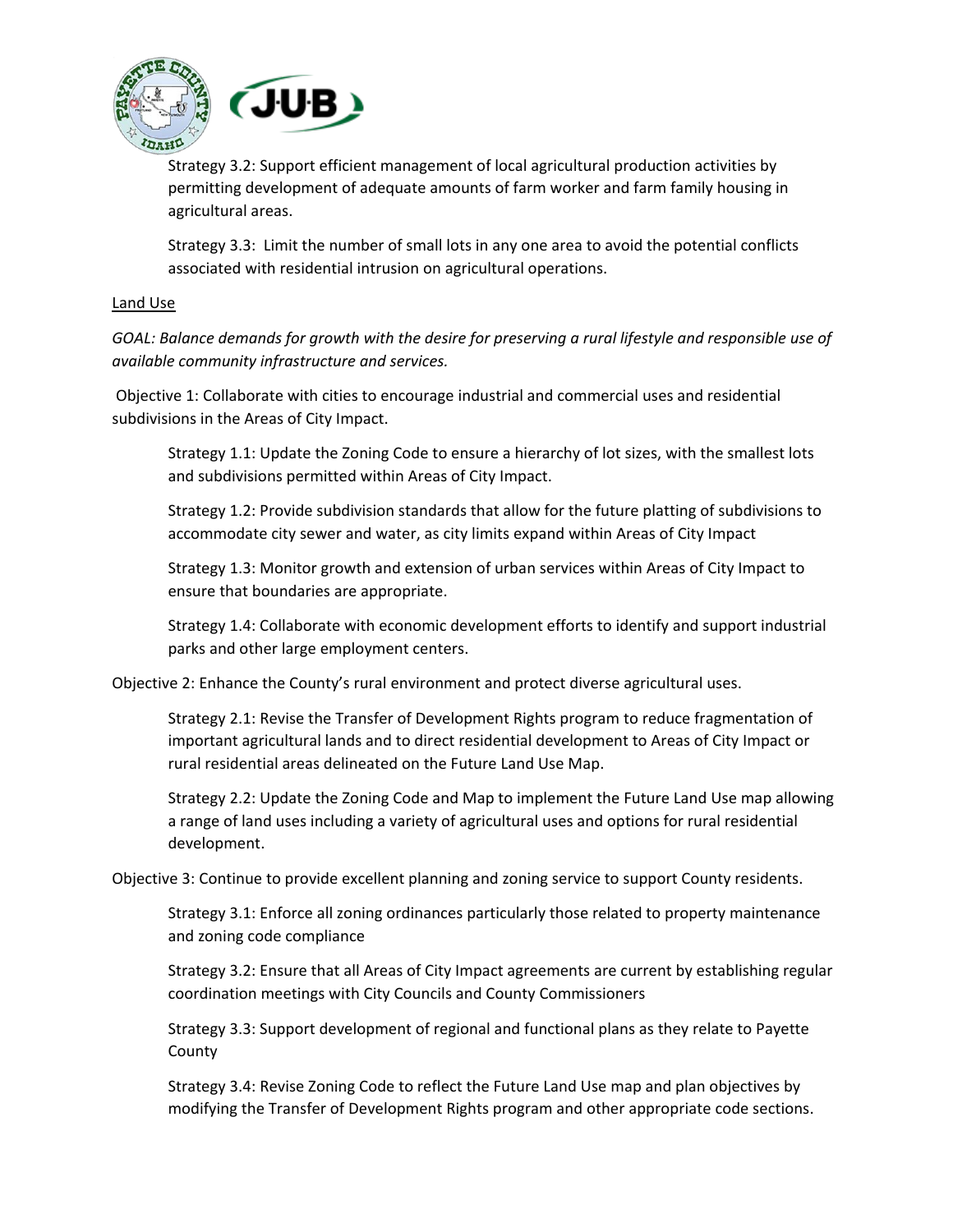

Strategy 3.2: Support efficient management of local agricultural production activities by permitting development of adequate amounts of farm worker and farm family housing in agricultural areas.

Strategy 3.3: Limit the number of small lots in any one area to avoid the potential conflicts associated with residential intrusion on agricultural operations.

#### Land Use

*GOAL: Balance demands for growth with the desire for preserving a rural lifestyle and responsible use of available community infrastructure and services.*

Objective 1: Collaborate with cities to encourage industrial and commercial uses and residential subdivisions in the Areas of City Impact.

Strategy 1.1: Update the Zoning Code to ensure a hierarchy of lot sizes, with the smallest lots and subdivisions permitted within Areas of City Impact.

Strategy 1.2: Provide subdivision standards that allow for the future platting of subdivisions to accommodate city sewer and water, as city limits expand within Areas of City Impact

Strategy 1.3: Monitor growth and extension of urban services within Areas of City Impact to ensure that boundaries are appropriate.

Strategy 1.4: Collaborate with economic development efforts to identify and support industrial parks and other large employment centers.

Objective 2: Enhance the County's rural environment and protect diverse agricultural uses.

Strategy 2.1: Revise the Transfer of Development Rights program to reduce fragmentation of important agricultural lands and to direct residential development to Areas of City Impact or rural residential areas delineated on the Future Land Use Map.

Strategy 2.2: Update the Zoning Code and Map to implement the Future Land Use map allowing a range of land uses including a variety of agricultural uses and options for rural residential development.

Objective 3: Continue to provide excellent planning and zoning service to support County residents.

Strategy 3.1: Enforce all zoning ordinances particularly those related to property maintenance and zoning code compliance

Strategy 3.2: Ensure that all Areas of City Impact agreements are current by establishing regular coordination meetings with City Councils and County Commissioners

Strategy 3.3: Support development of regional and functional plans as they relate to Payette County

Strategy 3.4: Revise Zoning Code to reflect the Future Land Use map and plan objectives by modifying the Transfer of Development Rights program and other appropriate code sections.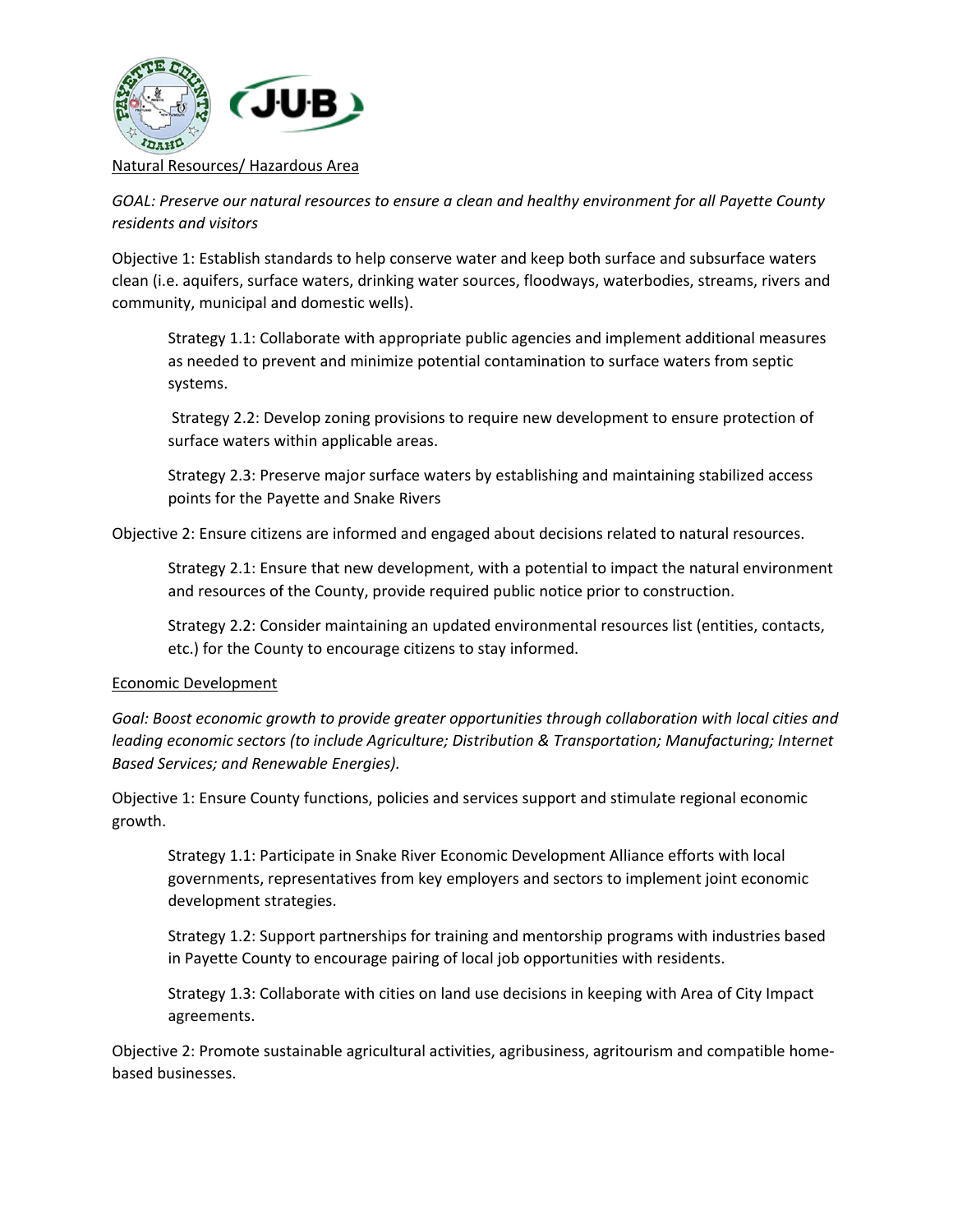

*GOAL: Preserve our natural resources to ensure a clean and healthy environment for all Payette County residents and visitors* 

Objective 1: Establish standards to help conserve water and keep both surface and subsurface waters clean (i.e. aquifers, surface waters, drinking water sources, floodways, waterbodies, streams, rivers and community, municipal and domestic wells).

Strategy 1.1: Collaborate with appropriate public agencies and implement additional measures as needed to prevent and minimize potential contamination to surface waters from septic systems.

Strategy 2.2: Develop zoning provisions to require new development to ensure protection of surface waters within applicable areas.

Strategy 2.3: Preserve major surface waters by establishing and maintaining stabilized access points for the Payette and Snake Rivers

Objective 2: Ensure citizens are informed and engaged about decisions related to natural resources.

Strategy 2.1: Ensure that new development, with a potential to impact the natural environment and resources of the County, provide required public notice prior to construction.

Strategy 2.2: Consider maintaining an updated environmental resources list (entities, contacts, etc.) for the County to encourage citizens to stay informed.

#### Economic Development

*Goal: Boost economic growth to provide greater opportunities through collaboration with local cities and leading economic sectors (to include Agriculture; Distribution & Transportation; Manufacturing; Internet Based Services; and Renewable Energies).*

Objective 1: Ensure County functions, policies and services support and stimulate regional economic growth.

Strategy 1.1: Participate in Snake River Economic Development Alliance efforts with local governments, representatives from key employers and sectors to implement joint economic development strategies.

Strategy 1.2: Support partnerships for training and mentorship programs with industries based in Payette County to encourage pairing of local job opportunities with residents.

Strategy 1.3: Collaborate with cities on land use decisions in keeping with Area of City Impact agreements.

Objective 2: Promote sustainable agricultural activities, agribusiness, agritourism and compatible homebased businesses.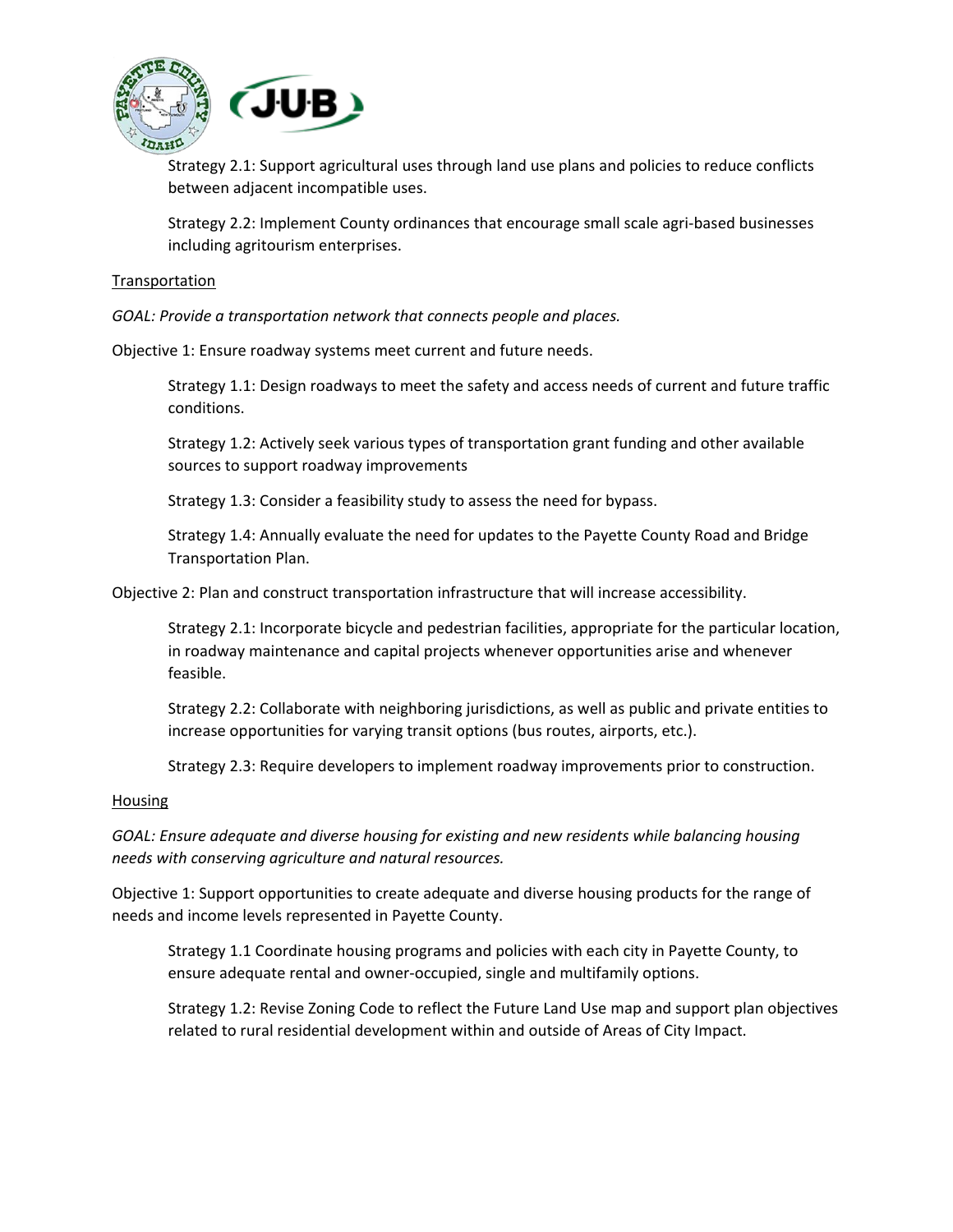

Strategy 2.1: Support agricultural uses through land use plans and policies to reduce conflicts between adjacent incompatible uses.

Strategy 2.2: Implement County ordinances that encourage small scale agri-based businesses including agritourism enterprises.

#### Transportation

*GOAL: Provide a transportation network that connects people and places.* 

Objective 1: Ensure roadway systems meet current and future needs.

Strategy 1.1: Design roadways to meet the safety and access needs of current and future traffic conditions.

Strategy 1.2: Actively seek various types of transportation grant funding and other available sources to support roadway improvements

Strategy 1.3: Consider a feasibility study to assess the need for bypass.

Strategy 1.4: Annually evaluate the need for updates to the Payette County Road and Bridge Transportation Plan.

Objective 2: Plan and construct transportation infrastructure that will increase accessibility.

Strategy 2.1: Incorporate bicycle and pedestrian facilities, appropriate for the particular location, in roadway maintenance and capital projects whenever opportunities arise and whenever feasible.

Strategy 2.2: Collaborate with neighboring jurisdictions, as well as public and private entities to increase opportunities for varying transit options (bus routes, airports, etc.).

Strategy 2.3: Require developers to implement roadway improvements prior to construction.

#### Housing

*GOAL: Ensure adequate and diverse housing for existing and new residents while balancing housing needs with conserving agriculture and natural resources.*

Objective 1: Support opportunities to create adequate and diverse housing products for the range of needs and income levels represented in Payette County.

Strategy 1.1 Coordinate housing programs and policies with each city in Payette County, to ensure adequate rental and owner-occupied, single and multifamily options.

Strategy 1.2: Revise Zoning Code to reflect the Future Land Use map and support plan objectives related to rural residential development within and outside of Areas of City Impact.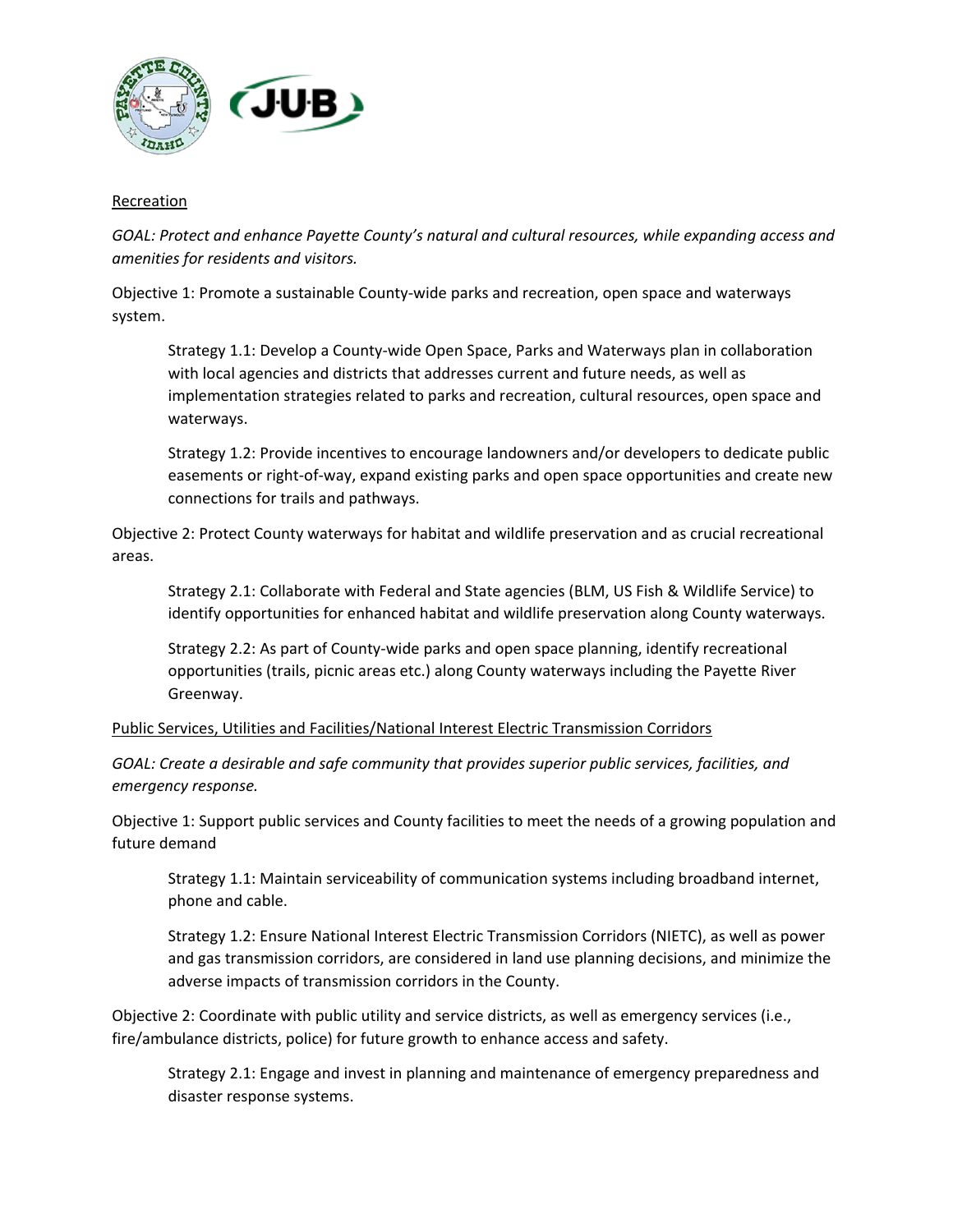

#### Recreation

*GOAL: Protect and enhance Payette County's natural and cultural resources, while expanding access and amenities for residents and visitors.*

Objective 1: Promote a sustainable County-wide parks and recreation, open space and waterways system.

Strategy 1.1: Develop a County-wide Open Space, Parks and Waterways plan in collaboration with local agencies and districts that addresses current and future needs, as well as implementation strategies related to parks and recreation, cultural resources, open space and waterways.

Strategy 1.2: Provide incentives to encourage landowners and/or developers to dedicate public easements or right-of-way, expand existing parks and open space opportunities and create new connections for trails and pathways.

Objective 2: Protect County waterways for habitat and wildlife preservation and as crucial recreational areas.

Strategy 2.1: Collaborate with Federal and State agencies (BLM, US Fish & Wildlife Service) to identify opportunities for enhanced habitat and wildlife preservation along County waterways.

Strategy 2.2: As part of County-wide parks and open space planning, identify recreational opportunities (trails, picnic areas etc.) along County waterways including the Payette River Greenway.

#### Public Services, Utilities and Facilities/National Interest Electric Transmission Corridors

*GOAL: Create a desirable and safe community that provides superior public services, facilities, and emergency response.* 

Objective 1: Support public services and County facilities to meet the needs of a growing population and future demand

Strategy 1.1: Maintain serviceability of communication systems including broadband internet, phone and cable.

Strategy 1.2: Ensure National Interest Electric Transmission Corridors (NIETC), as well as power and gas transmission corridors, are considered in land use planning decisions, and minimize the adverse impacts of transmission corridors in the County.

Objective 2: Coordinate with public utility and service districts, as well as emergency services (i.e., fire/ambulance districts, police) for future growth to enhance access and safety.

Strategy 2.1: Engage and invest in planning and maintenance of emergency preparedness and disaster response systems.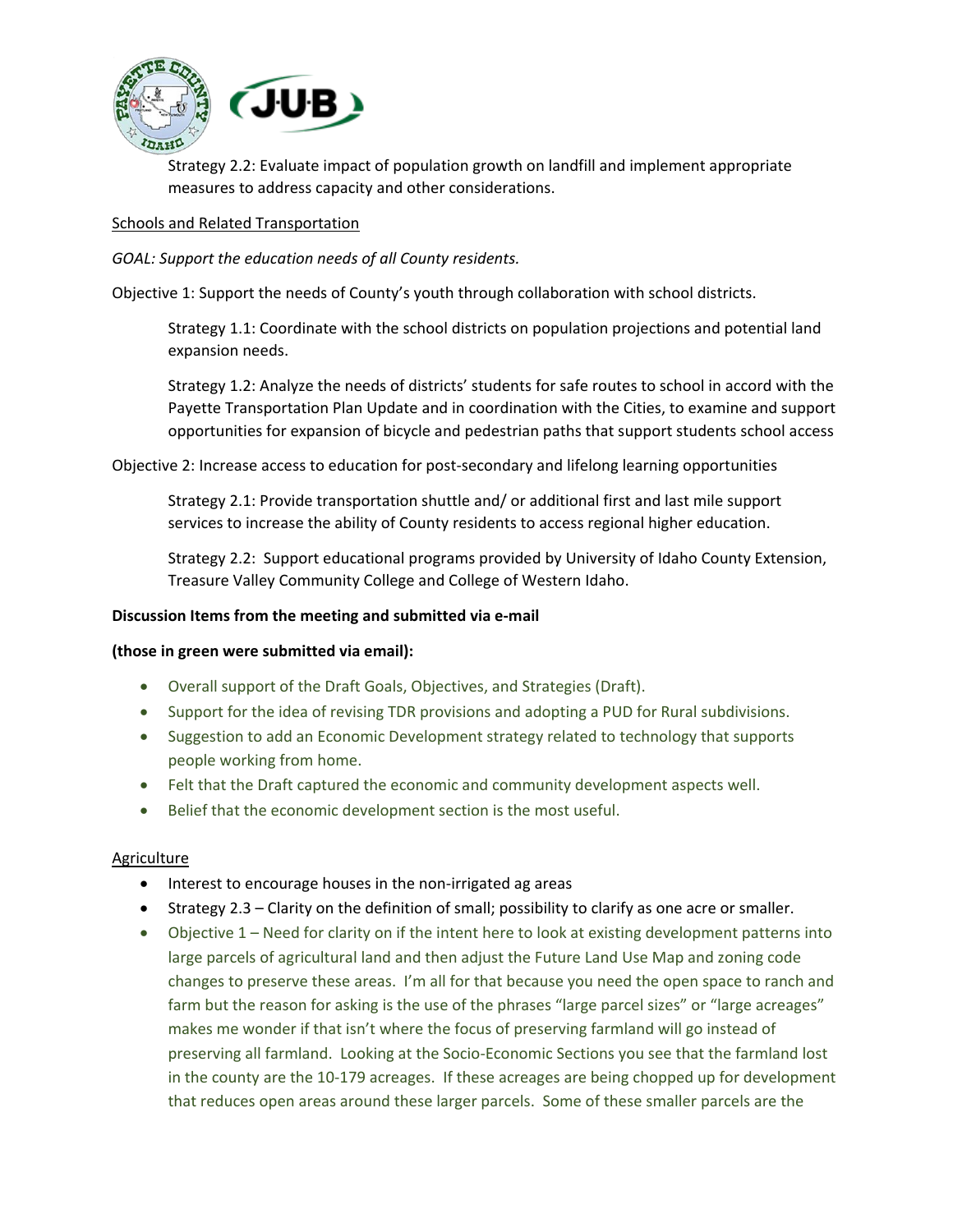

Strategy 2.2: Evaluate impact of population growth on landfill and implement appropriate measures to address capacity and other considerations.

#### Schools and Related Transportation

*GOAL: Support the education needs of all County residents.* 

Objective 1: Support the needs of County's youth through collaboration with school districts.

Strategy 1.1: Coordinate with the school districts on population projections and potential land expansion needs.

Strategy 1.2: Analyze the needs of districts' students for safe routes to school in accord with the Payette Transportation Plan Update and in coordination with the Cities, to examine and support opportunities for expansion of bicycle and pedestrian paths that support students school access

Objective 2: Increase access to education for post-secondary and lifelong learning opportunities

Strategy 2.1: Provide transportation shuttle and/ or additional first and last mile support services to increase the ability of County residents to access regional higher education.

Strategy 2.2: Support educational programs provided by University of Idaho County Extension, Treasure Valley Community College and College of Western Idaho.

#### **Discussion Items from the meeting and submitted via e-mail**

#### **(those in green were submitted via email):**

- Overall support of the Draft Goals, Objectives, and Strategies (Draft).
- Support for the idea of revising TDR provisions and adopting a PUD for Rural subdivisions.
- Suggestion to add an Economic Development strategy related to technology that supports people working from home.
- Felt that the Draft captured the economic and community development aspects well.
- Belief that the economic development section is the most useful.

#### Agriculture

- Interest to encourage houses in the non-irrigated ag areas
- Strategy 2.3 Clarity on the definition of small; possibility to clarify as one acre or smaller.
- Objective 1 Need for clarity on if the intent here to look at existing development patterns into large parcels of agricultural land and then adjust the Future Land Use Map and zoning code changes to preserve these areas. I'm all for that because you need the open space to ranch and farm but the reason for asking is the use of the phrases "large parcel sizes" or "large acreages" makes me wonder if that isn't where the focus of preserving farmland will go instead of preserving all farmland. Looking at the Socio-Economic Sections you see that the farmland lost in the county are the 10-179 acreages. If these acreages are being chopped up for development that reduces open areas around these larger parcels. Some of these smaller parcels are the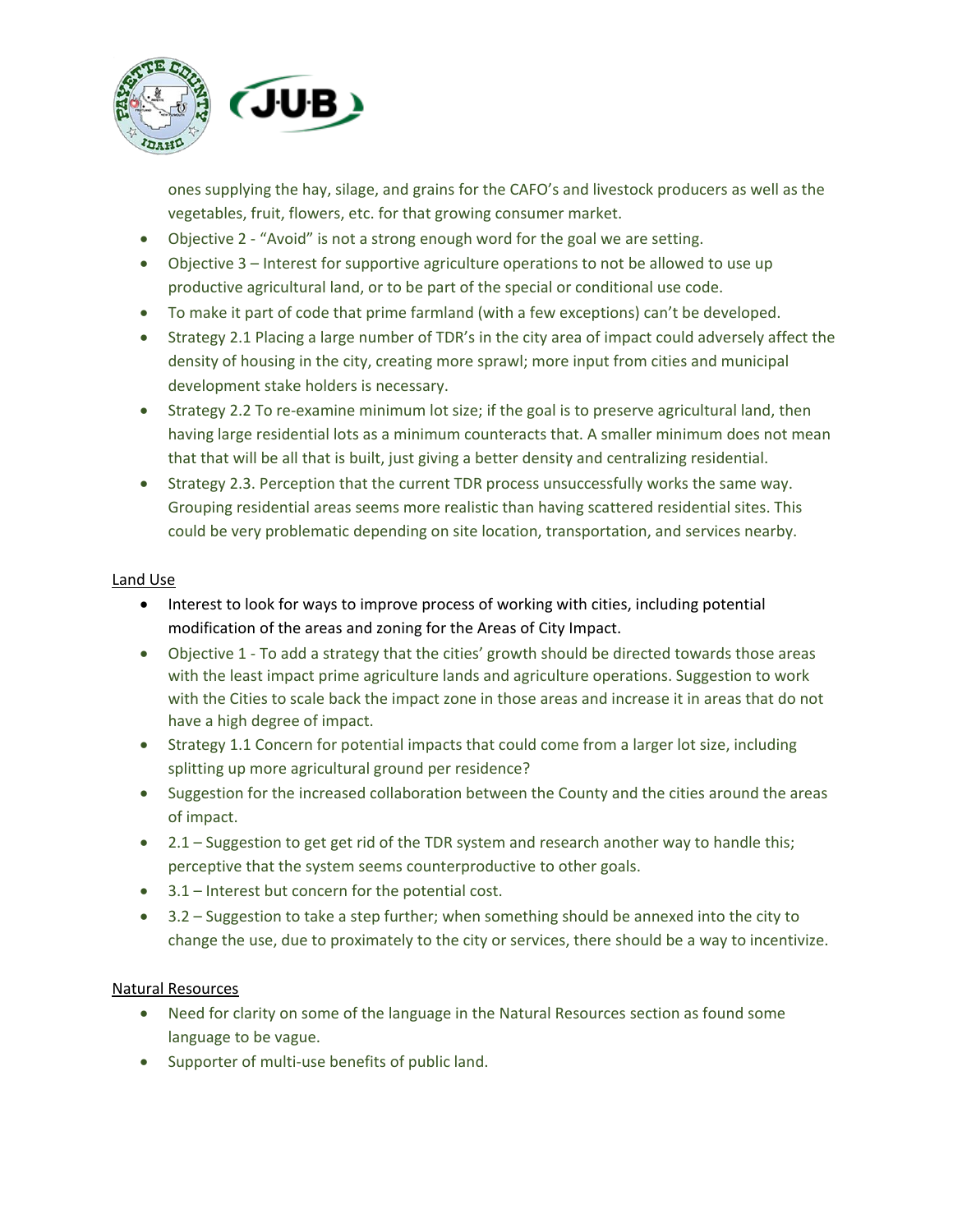

ones supplying the hay, silage, and grains for the CAFO's and livestock producers as well as the vegetables, fruit, flowers, etc. for that growing consumer market.

- Objective 2 "Avoid" is not a strong enough word for the goal we are setting.
- Objective 3 Interest for supportive agriculture operations to not be allowed to use up productive agricultural land, or to be part of the special or conditional use code.
- To make it part of code that prime farmland (with a few exceptions) can't be developed.
- Strategy 2.1 Placing a large number of TDR's in the city area of impact could adversely affect the density of housing in the city, creating more sprawl; more input from cities and municipal development stake holders is necessary.
- Strategy 2.2 To re-examine minimum lot size; if the goal is to preserve agricultural land, then having large residential lots as a minimum counteracts that. A smaller minimum does not mean that that will be all that is built, just giving a better density and centralizing residential.
- Strategy 2.3. Perception that the current TDR process unsuccessfully works the same way. Grouping residential areas seems more realistic than having scattered residential sites. This could be very problematic depending on site location, transportation, and services nearby.

#### Land Use

- Interest to look for ways to improve process of working with cities, including potential modification of the areas and zoning for the Areas of City Impact.
- Objective 1 To add a strategy that the cities' growth should be directed towards those areas with the least impact prime agriculture lands and agriculture operations. Suggestion to work with the Cities to scale back the impact zone in those areas and increase it in areas that do not have a high degree of impact.
- Strategy 1.1 Concern for potential impacts that could come from a larger lot size, including splitting up more agricultural ground per residence?
- Suggestion for the increased collaboration between the County and the cities around the areas of impact.
- 2.1 Suggestion to get get rid of the TDR system and research another way to handle this; perceptive that the system seems counterproductive to other goals.
- 3.1 Interest but concern for the potential cost.
- 3.2 Suggestion to take a step further; when something should be annexed into the city to change the use, due to proximately to the city or services, there should be a way to incentivize.

#### Natural Resources

- Need for clarity on some of the language in the Natural Resources section as found some language to be vague.
- Supporter of multi-use benefits of public land.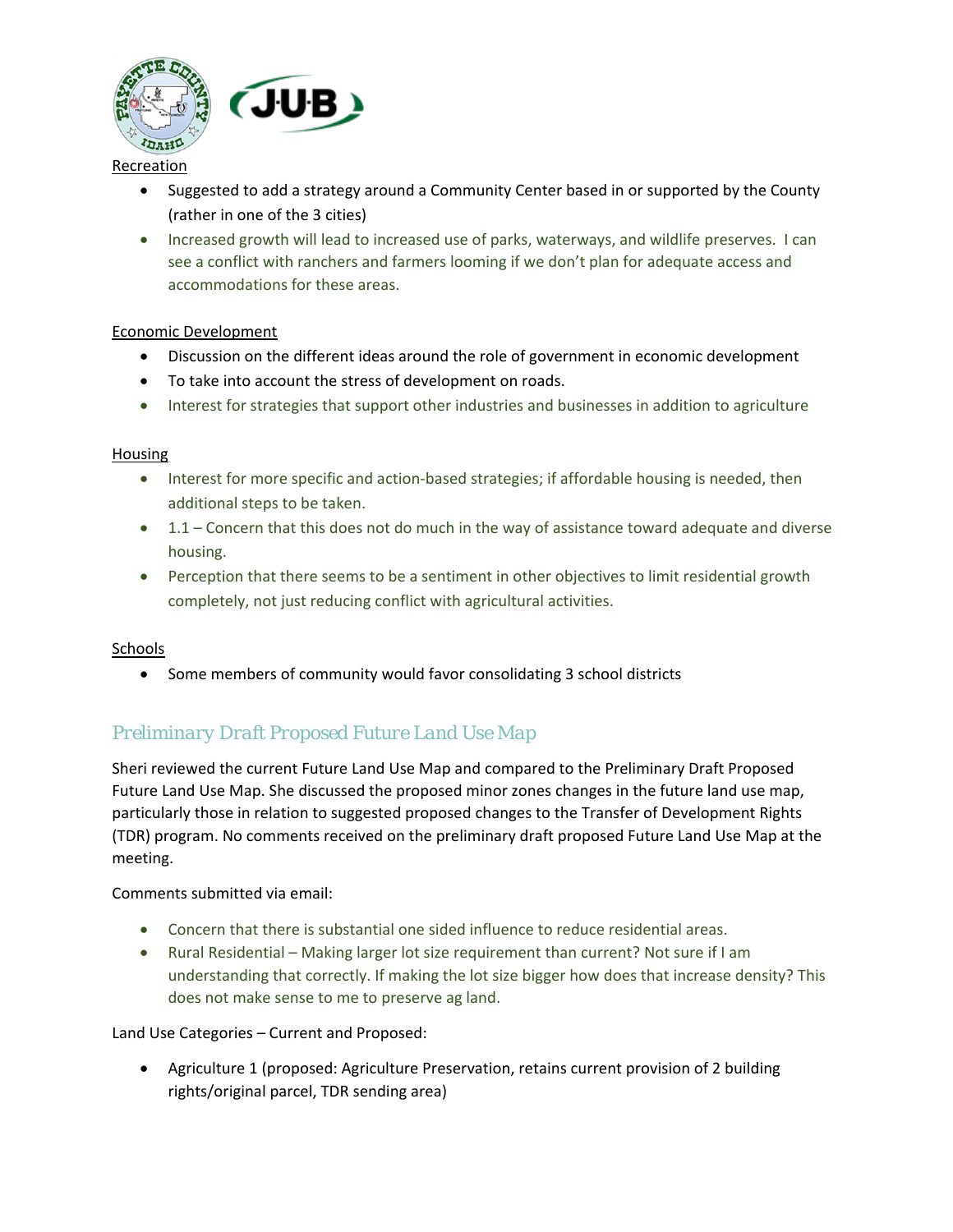

#### Recreation

- Suggested to add a strategy around a Community Center based in or supported by the County (rather in one of the 3 cities)
- Increased growth will lead to increased use of parks, waterways, and wildlife preserves. I can see a conflict with ranchers and farmers looming if we don't plan for adequate access and accommodations for these areas.

#### Economic Development

- Discussion on the different ideas around the role of government in economic development
- To take into account the stress of development on roads.
- Interest for strategies that support other industries and businesses in addition to agriculture

#### **Housing**

- Interest for more specific and action-based strategies; if affordable housing is needed, then additional steps to be taken.
- 1.1 Concern that this does not do much in the way of assistance toward adequate and diverse housing.
- Perception that there seems to be a sentiment in other objectives to limit residential growth completely, not just reducing conflict with agricultural activities.

#### Schools

• Some members of community would favor consolidating 3 school districts

# *Preliminary Draft Proposed Future Land Use Map*

Sheri reviewed the current Future Land Use Map and compared to the Preliminary Draft Proposed Future Land Use Map. She discussed the proposed minor zones changes in the future land use map, particularly those in relation to suggested proposed changes to the Transfer of Development Rights (TDR) program. No comments received on the preliminary draft proposed Future Land Use Map at the meeting.

Comments submitted via email:

- Concern that there is substantial one sided influence to reduce residential areas.
- Rural Residential Making larger lot size requirement than current? Not sure if I am understanding that correctly. If making the lot size bigger how does that increase density? This does not make sense to me to preserve ag land.

Land Use Categories – Current and Proposed:

• Agriculture 1 (proposed: Agriculture Preservation, retains current provision of 2 building rights/original parcel, TDR sending area)